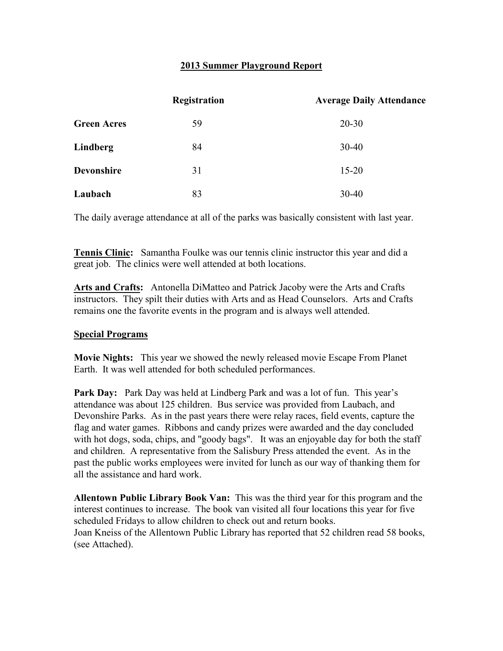## **2013 Summer Playground Report**

|                    | <b>Registration</b> | <b>Average Daily Attendance</b> |
|--------------------|---------------------|---------------------------------|
| <b>Green Acres</b> | 59                  | $20 - 30$                       |
| Lindberg           | 84                  | $30 - 40$                       |
| <b>Devonshire</b>  | 31                  | $15 - 20$                       |
| Laubach            | 83                  | $30 - 40$                       |

The daily average attendance at all of the parks was basically consistent with last year.

**Tennis Clinic:** Samantha Foulke was our tennis clinic instructor this year and did a great job. The clinics were well attended at both locations.

**Arts and Crafts:** Antonella DiMatteo and Patrick Jacoby were the Arts and Crafts instructors. They spilt their duties with Arts and as Head Counselors. Arts and Crafts remains one the favorite events in the program and is always well attended.

## **Special Programs**

**Movie Nights:** This year we showed the newly released movie Escape From Planet Earth. It was well attended for both scheduled performances.

**Park Day:** Park Day was held at Lindberg Park and was a lot of fun. This year's attendance was about 125 children. Bus service was provided from Laubach, and Devonshire Parks. As in the past years there were relay races, field events, capture the flag and water games. Ribbons and candy prizes were awarded and the day concluded with hot dogs, soda, chips, and "goody bags". It was an enjoyable day for both the staff and children. A representative from the Salisbury Press attended the event. As in the past the public works employees were invited for lunch as our way of thanking them for all the assistance and hard work.

**Allentown Public Library Book Van:** This was the third year for this program and the interest continues to increase. The book van visited all four locations this year for five scheduled Fridays to allow children to check out and return books. Joan Kneiss of the Allentown Public Library has reported that 52 children read 58 books, (see Attached).